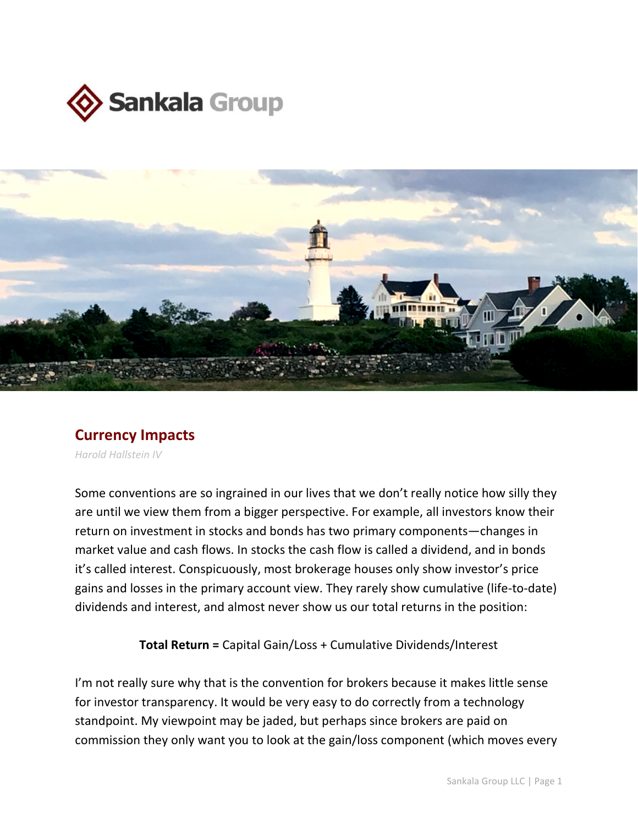



## **Currency Impacts**

*Harold Hallstein IV*

Some conventions are so ingrained in our lives that we don't really notice how silly they are until we view them from a bigger perspective. For example, all investors know their return on investment in stocks and bonds has two primary components—changes in market value and cash flows. In stocks the cash flow is called a dividend, and in bonds it's called interest. Conspicuously, most brokerage houses only show investor's price gains and losses in the primary account view. They rarely show cumulative (life-to-date) dividends and interest, and almost never show us our total returns in the position:

**Total Return =** Capital Gain/Loss + Cumulative Dividends/Interest

I'm not really sure why that is the convention for brokers because it makes little sense for investor transparency. It would be very easy to do correctly from a technology standpoint. My viewpoint may be jaded, but perhaps since brokers are paid on commission they only want you to look at the gain/loss component (which moves every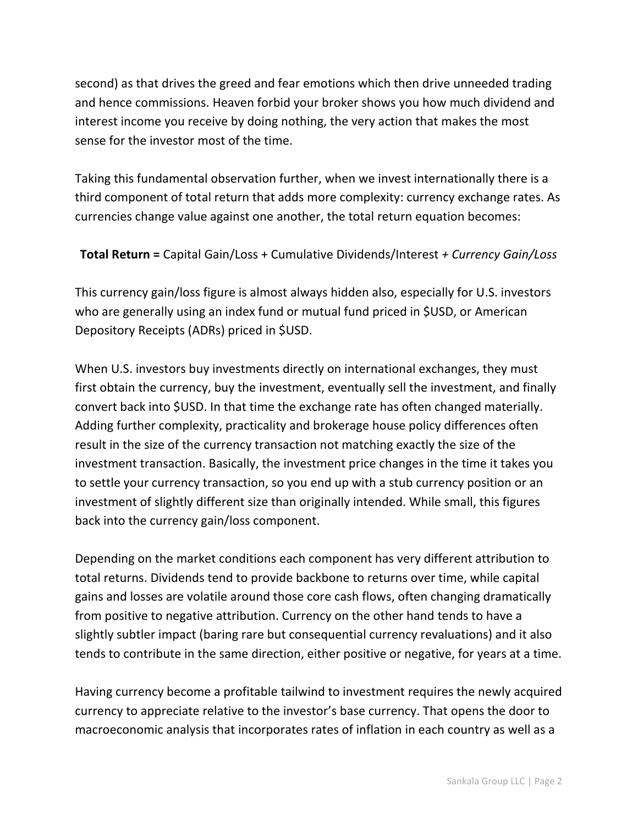second) as that drives the greed and fear emotions which then drive unneeded trading and hence commissions. Heaven forbid your broker shows you how much dividend and interest income you receive by doing nothing, the very action that makes the most sense for the investor most of the time.

Taking this fundamental observation further, when we invest internationally there is a third component of total return that adds more complexity: currency exchange rates. As currencies change value against one another, the total return equation becomes:

**Total Return =** Capital Gain/Loss + Cumulative Dividends/Interest *+ Currency Gain/Loss*

This currency gain/loss figure is almost always hidden also, especially for U.S. investors who are generally using an index fund or mutual fund priced in \$USD, or American Depository Receipts (ADRs) priced in \$USD.

When U.S. investors buy investments directly on international exchanges, they must first obtain the currency, buy the investment, eventually sell the investment, and finally convert back into \$USD. In that time the exchange rate has often changed materially. Adding further complexity, practicality and brokerage house policy differences often result in the size of the currency transaction not matching exactly the size of the investment transaction. Basically, the investment price changes in the time it takes you to settle your currency transaction, so you end up with a stub currency position or an investment of slightly different size than originally intended. While small, this figures back into the currency gain/loss component.

Depending on the market conditions each component has very different attribution to total returns. Dividends tend to provide backbone to returns over time, while capital gains and losses are volatile around those core cash flows, often changing dramatically from positive to negative attribution. Currency on the other hand tends to have a slightly subtler impact (baring rare but consequential currency revaluations) and it also tends to contribute in the same direction, either positive or negative, for years at a time.

Having currency become a profitable tailwind to investment requires the newly acquired currency to appreciate relative to the investor's base currency. That opens the door to macroeconomic analysis that incorporates rates of inflation in each country as well as a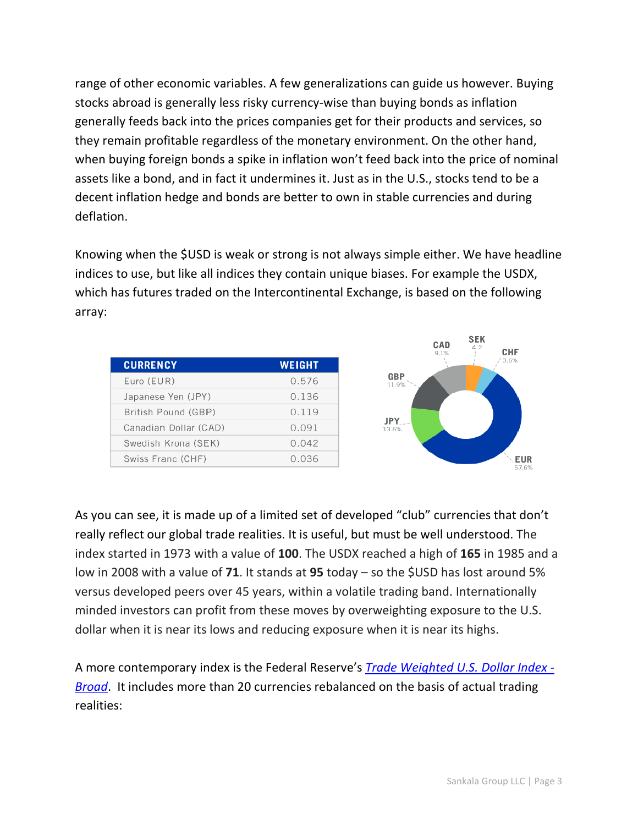range of other economic variables. A few generalizations can guide us however. Buying stocks abroad is generally less risky currency-wise than buying bonds as inflation generally feeds back into the prices companies get for their products and services, so they remain profitable regardless of the monetary environment. On the other hand, when buying foreign bonds a spike in inflation won't feed back into the price of nominal assets like a bond, and in fact it undermines it. Just as in the U.S., stocks tend to be a decent inflation hedge and bonds are better to own in stable currencies and during deflation.

Knowing when the \$USD is weak or strong is not always simple either. We have headline indices to use, but like all indices they contain unique biases. For example the USDX, which has futures traded on the Intercontinental Exchange, is based on the following array:

| <b>WEIGHT</b> |
|---------------|
| 0.576         |
| 0.136         |
| 0.119         |
| 0.091         |
| 0.042         |
| 0.036         |
|               |



As you can see, it is made up of a limited set of developed "club" currencies that don't really reflect our global trade realities. It is useful, but must be well understood. The index started in 1973 with a value of **100**. The USDX reached a high of **165** in 1985 and a low in 2008 with a value of **71**. It stands at **95** today – so the \$USD has lost around 5% versus developed peers over 45 years, within a volatile trading band. Internationally minded investors can profit from these moves by overweighting exposure to the U.S. dollar when it is near its lows and reducing exposure when it is near its highs.

A more contemporary index is the Federal Reserve's *[Trade Weighted U.S. Dollar Index -](https://fred.stlouisfed.org/series/TWEXB) [Broad](https://fred.stlouisfed.org/series/TWEXB)*. It includes more than 20 currencies rebalanced on the basis of actual trading realities: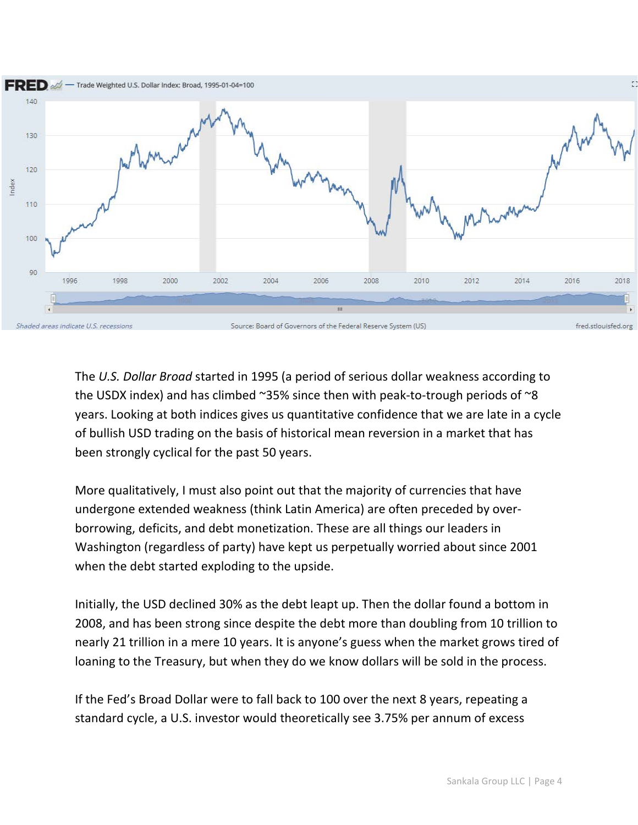

The *U.S. Dollar Broad* started in 1995 (a period of serious dollar weakness according to the USDX index) and has climbed  $\sim$ 35% since then with peak-to-trough periods of  $\sim$ 8 years. Looking at both indices gives us quantitative confidence that we are late in a cycle of bullish USD trading on the basis of historical mean reversion in a market that has been strongly cyclical for the past 50 years.

More qualitatively, I must also point out that the majority of currencies that have undergone extended weakness (think Latin America) are often preceded by overborrowing, deficits, and debt monetization. These are all things our leaders in Washington (regardless of party) have kept us perpetually worried about since 2001 when the debt started exploding to the upside.

Initially, the USD declined 30% as the debt leapt up. Then the dollar found a bottom in 2008, and has been strong since despite the debt more than doubling from 10 trillion to nearly 21 trillion in a mere 10 years. It is anyone's guess when the market grows tired of loaning to the Treasury, but when they do we know dollars will be sold in the process.

If the Fed's Broad Dollar were to fall back to 100 over the next 8 years, repeating a standard cycle, a U.S. investor would theoretically see 3.75% per annum of excess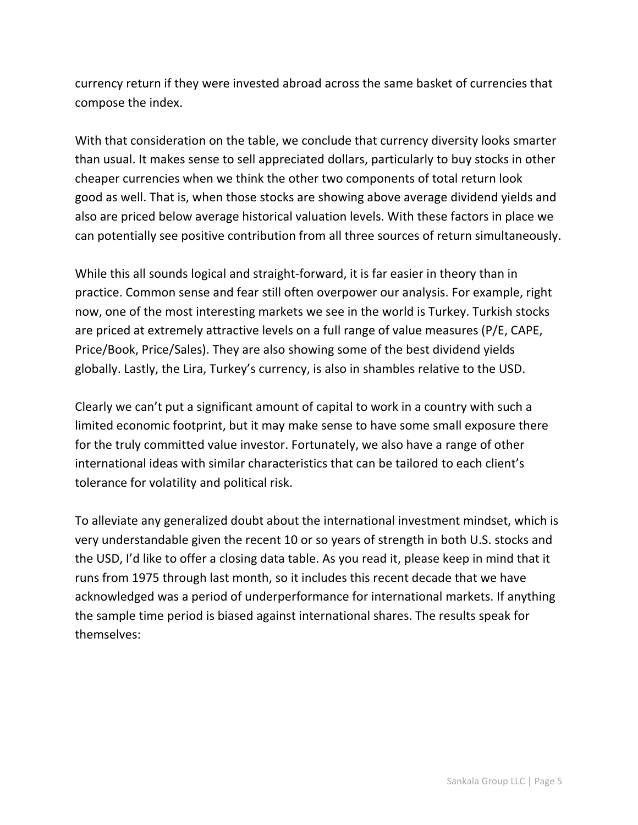currency return if they were invested abroad across the same basket of currencies that compose the index.

With that consideration on the table, we conclude that currency diversity looks smarter than usual. It makes sense to sell appreciated dollars, particularly to buy stocks in other cheaper currencies when we think the other two components of total return look good as well. That is, when those stocks are showing above average dividend yields and also are priced below average historical valuation levels. With these factors in place we can potentially see positive contribution from all three sources of return simultaneously.

While this all sounds logical and straight-forward, it is far easier in theory than in practice. Common sense and fear still often overpower our analysis. For example, right now, one of the most interesting markets we see in the world is Turkey. Turkish stocks are priced at extremely attractive levels on a full range of value measures (P/E, CAPE, Price/Book, Price/Sales). They are also showing some of the best dividend yields globally. Lastly, the Lira, Turkey's currency, is also in shambles relative to the USD.

Clearly we can't put a significant amount of capital to work in a country with such a limited economic footprint, but it may make sense to have some small exposure there for the truly committed value investor. Fortunately, we also have a range of other international ideas with similar characteristics that can be tailored to each client's tolerance for volatility and political risk.

To alleviate any generalized doubt about the international investment mindset, which is very understandable given the recent 10 or so years of strength in both U.S. stocks and the USD, I'd like to offer a closing data table. As you read it, please keep in mind that it runs from 1975 through last month, so it includes this recent decade that we have acknowledged was a period of underperformance for international markets. If anything the sample time period is biased against international shares. The results speak for themselves: